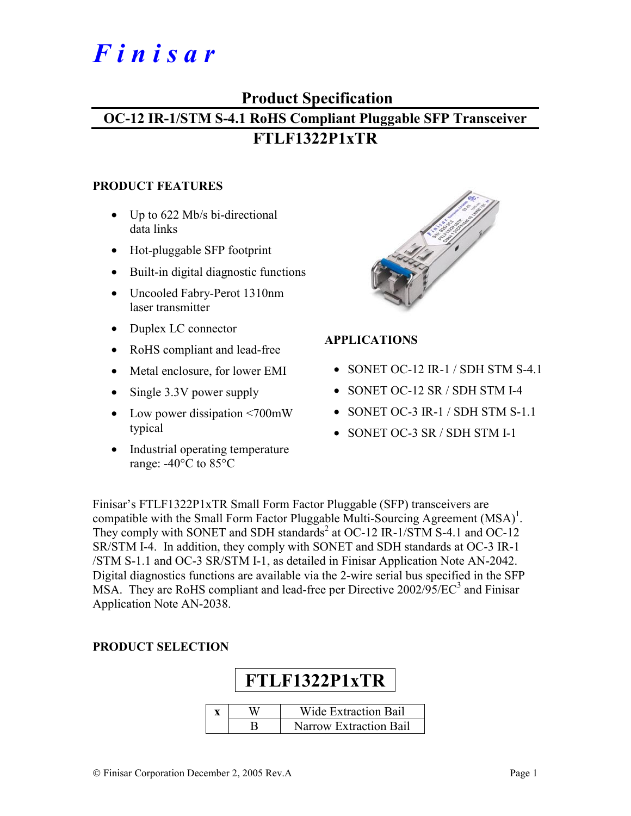# *F i n i s a r*

# **Product Specification OC-12 IR-1/STM S-4.1 RoHS Compliant Pluggable SFP Transceiver FTLF1322P1xTR**

#### **PRODUCT FEATURES**

- Up to 622 Mb/s bi-directional data links
- Hot-pluggable SFP footprint
- Built-in digital diagnostic functions
- Uncooled Fabry-Perot 1310nm laser transmitter
- Duplex LC connector
- RoHS compliant and lead-free
- Metal enclosure, for lower EMI
- Single 3.3V power supply
- Low power dissipation <700mW typical
- Industrial operating temperature range: -40°C to 85°C



# **APPLICATIONS**

- SONET OC-12 IR-1 / SDH STM S-4.1
- SONET OC-12 SR / SDH STM I-4
- SONET OC-3 IR-1 / SDH STM S-1.1
- SONET OC-3 SR / SDH STM I-1

Finisar's FTLF1322P1xTR Small Form Factor Pluggable (SFP) transceivers are compatible with the Small Form Factor Pluggable Multi-Sourcing Agreement  $(MSA)^{1}$ . They comply with SONET and SDH standards<sup>2</sup> at OC-12 IR-1/STM S-4.1 and OC-12 SR/STM I-4. In addition, they comply with SONET and SDH standards at OC-3 IR-1 /STM S-1.1 and OC-3 SR/STM I-1, as detailed in Finisar Application Note AN-2042. Digital diagnostics functions are available via the 2-wire serial bus specified in the SFP MSA. They are RoHS compliant and lead-free per Directive  $2002/95/EC^3$  and Finisar Application Note AN-2038.

# **PRODUCT SELECTION**

| FTLF1322P1xTR |  |                             |  |  |  |  |  |  |  |
|---------------|--|-----------------------------|--|--|--|--|--|--|--|
|               |  | <b>Wide Extraction Bail</b> |  |  |  |  |  |  |  |
|               |  | Narrow Extraction Bail      |  |  |  |  |  |  |  |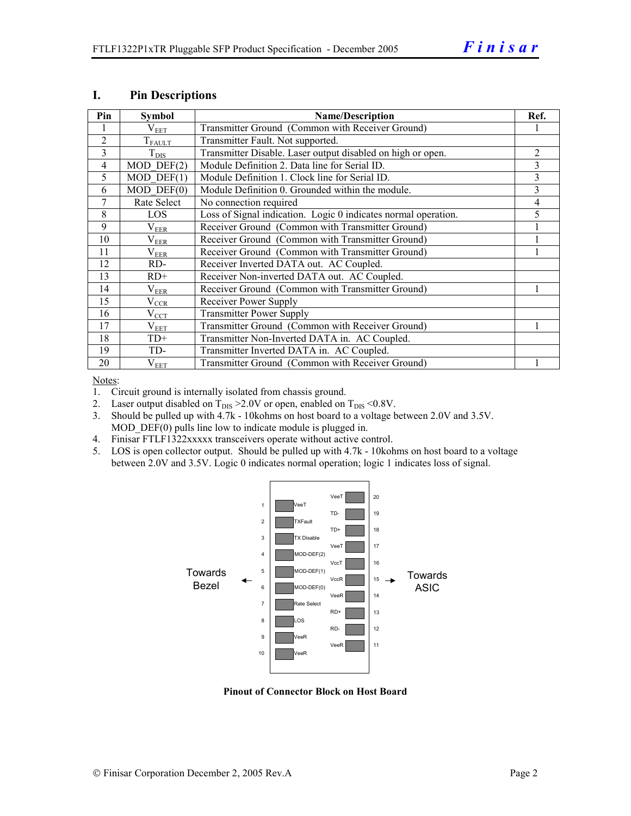| Pin            | <b>Symbol</b>         | <b>Name/Description</b>                                        | Ref. |
|----------------|-----------------------|----------------------------------------------------------------|------|
|                | $\rm V_{EET}$         | Transmitter Ground (Common with Receiver Ground)               |      |
| 2              | $T_{FALLT}$           | Transmitter Fault. Not supported.                              |      |
| $\mathcal{E}$  | $T_{\rm DIS}$         | Transmitter Disable. Laser output disabled on high or open.    | 2    |
| $\overline{4}$ | $MOD$ $DEF(2)$        | Module Definition 2. Data line for Serial ID.                  | 3    |
| 5              | $MOD$ DEF $(1)$       | Module Definition 1. Clock line for Serial ID.                 | 3    |
| 6              | $MOD$ $DEF(0)$        | Module Definition 0. Grounded within the module.               | 3    |
| 7              | Rate Select           | No connection required                                         | 4    |
| 8              | <b>LOS</b>            | Loss of Signal indication. Logic 0 indicates normal operation. | 5    |
| $\mathbf Q$    | $\rm V_{EER}$         | Receiver Ground (Common with Transmitter Ground)               |      |
| 10             | $\rm V_{EER}$         | Receiver Ground (Common with Transmitter Ground)               |      |
| 11             | $\rm V_{EER}$         | Receiver Ground (Common with Transmitter Ground)               |      |
| 12             | RD-                   | Receiver Inverted DATA out. AC Coupled.                        |      |
| 13             | $RD+$                 | Receiver Non-inverted DATA out. AC Coupled.                    |      |
| 14             | $\rm V_{EER}$         | Receiver Ground (Common with Transmitter Ground)               |      |
| 15             | $V_{\underline{CCR}}$ | Receiver Power Supply                                          |      |
| 16             | $V_{CCT}$             | <b>Transmitter Power Supply</b>                                |      |
| 17             | $\rm V_{EET}$         | Transmitter Ground (Common with Receiver Ground)               |      |
| 18             | $TD+$                 | Transmitter Non-Inverted DATA in. AC Coupled.                  |      |
| 19             | TD-                   | Transmitter Inverted DATA in. AC Coupled.                      |      |
| 20             | $V_{EET}$             | Transmitter Ground (Common with Receiver Ground)               |      |

#### **I. Pin Descriptions**

Notes:

1. Circuit ground is internally isolated from chassis ground.

- 2. Laser output disabled on  $T_{DIS} > 2.0V$  or open, enabled on  $T_{DIS} < 0.8V$ .
- 3. Should be pulled up with 4.7k 10kohms on host board to a voltage between 2.0V and 3.5V. MOD  $DEF(0)$  pulls line low to indicate module is plugged in.
- 4. Finisar FTLF1322xxxxx transceivers operate without active control.
- 5. LOS is open collector output. Should be pulled up with 4.7k 10kohms on host board to a voltage between 2.0V and 3.5V. Logic 0 indicates normal operation; logic 1 indicates loss of signal.



**Pinout of Connector Block on Host Board**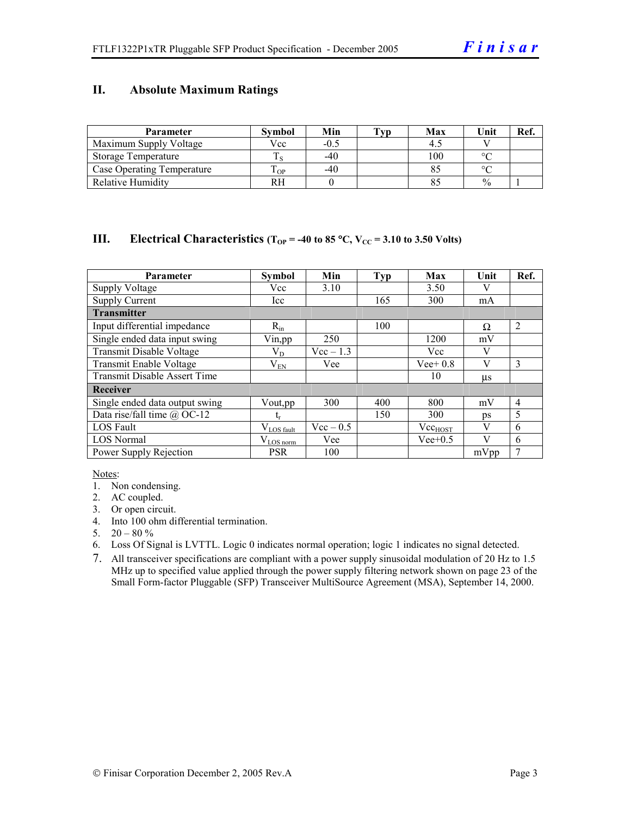## **II. Absolute Maximum Ratings**

| <b>Parameter</b>           | <b>Symbol</b> | Min    | Tvp | Max | Unit          | Ref. |
|----------------------------|---------------|--------|-----|-----|---------------|------|
| Maximum Supply Voltage     | Vcc           | $-0.5$ |     |     |               |      |
| Storage Temperature        |               | $-40$  |     | 100 | $\sim$        |      |
| Case Operating Temperature | L OP          | $-40$  |     |     | $\Omega$      |      |
| Relative Humidity          |               |        |     |     | $\frac{0}{0}$ |      |

#### **III.** Electrical Characteristics ( $T_{OP}$  = -40 to 85 °C,  $V_{CC}$  = 3.10 to 3.50 Volts)

| <b>Parameter</b>                    | <b>Symbol</b>          | Min         | <b>Typ</b> | Max          | Unit    | Ref.           |
|-------------------------------------|------------------------|-------------|------------|--------------|---------|----------------|
| <b>Supply Voltage</b>               | Vcc                    | 3.10        |            | 3.50         | V       |                |
| <b>Supply Current</b>               | Icc                    |             | 165        | 300          | mA      |                |
| <b>Transmitter</b>                  |                        |             |            |              |         |                |
| Input differential impedance        | $R_{in}$               |             | 100        |              | Ω       | $\overline{2}$ |
| Single ended data input swing       | Vin, pp                | 250         |            | 1200         | mV      |                |
| Transmit Disable Voltage            | $\rm V_{D}$            | $Vec-1.3$   |            | Vcc          | V       |                |
| Transmit Enable Voltage             | $\rm V_{EN}$           | Vee         |            | $Vee+0.8$    | V       | 3              |
| <b>Transmit Disable Assert Time</b> |                        |             |            | 10           | $\mu$ s |                |
| Receiver                            |                        |             |            |              |         |                |
| Single ended data output swing      | Vout, pp.              | 300         | 400        | 800          | mV      | $\overline{4}$ |
| Data rise/fall time $\omega$ OC-12  | t,                     |             | 150        | 300          | ps      | 5              |
| <b>LOS</b> Fault                    | $V_{\text{LOS}}$ fault | $Vec - 0.5$ |            | $Vec_{HOST}$ | V       | 6              |
| <b>LOS Normal</b>                   | $V_{LOS\,norm}$        | Vee         |            | $Vee+0.5$    | V       | 6              |
| Power Supply Rejection              | <b>PSR</b>             | 100         |            |              | mVpp    | 7              |

Notes:

- 1. Non condensing.
- 2. AC coupled.
- 3. Or open circuit.
- 4. Into 100 ohm differential termination.
- 5.  $20 80 \%$
- 6. Loss Of Signal is LVTTL. Logic 0 indicates normal operation; logic 1 indicates no signal detected.
- 7. All transceiver specifications are compliant with a power supply sinusoidal modulation of 20 Hz to 1.5 MHz up to specified value applied through the power supply filtering network shown on page 23 of the Small Form-factor Pluggable (SFP) Transceiver MultiSource Agreement (MSA), September 14, 2000.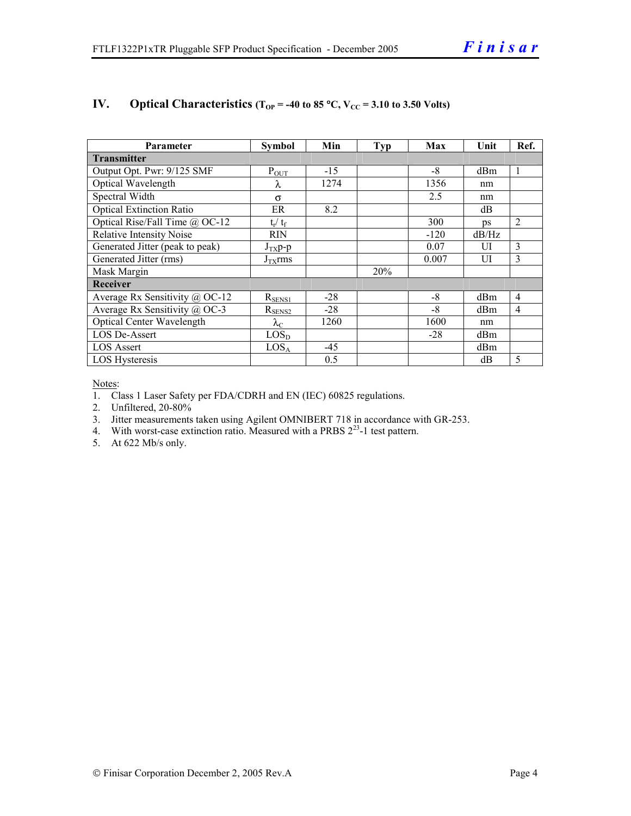| <b>Parameter</b>                 | <b>Symbol</b>     | Min   | <b>Typ</b> | Max    | Unit  | Ref.           |  |  |  |
|----------------------------------|-------------------|-------|------------|--------|-------|----------------|--|--|--|
| <b>Transmitter</b>               |                   |       |            |        |       |                |  |  |  |
| Output Opt. Pwr: 9/125 SMF       | $P_{OUT}$         | $-15$ |            | $-8$   | dBm   | 1              |  |  |  |
| Optical Wavelength               | λ                 | 1274  |            | 1356   | nm    |                |  |  |  |
| Spectral Width                   | $\sigma$          |       |            | 2.5    | nm    |                |  |  |  |
| <b>Optical Extinction Ratio</b>  | ER                | 8.2   |            |        | dB    |                |  |  |  |
| Optical Rise/Fall Time @ OC-12   | $t_r / t_f$       |       |            | 300    | DS    | $\overline{2}$ |  |  |  |
| <b>Relative Intensity Noise</b>  | RIN               |       |            | $-120$ | dB/Hz |                |  |  |  |
| Generated Jitter (peak to peak)  | $J_{TX}p-p$       |       |            | 0.07   | UI    | 3              |  |  |  |
| Generated Jitter (rms)           | $J_{TX}$ rms      |       |            | 0.007  | UI    | 3              |  |  |  |
| Mask Margin                      |                   |       | 20%        |        |       |                |  |  |  |
| <b>Receiver</b>                  |                   |       |            |        |       |                |  |  |  |
| Average Rx Sensitivity @ OC-12   | $R_{SENS1}$       | $-28$ |            | $-8$   | dBm   | $\overline{4}$ |  |  |  |
| Average Rx Sensitivity @ OC-3    | $R_{\rm SENS2}$   | $-28$ |            | $-8$   | dBm   | 4              |  |  |  |
| <b>Optical Center Wavelength</b> | $\lambda_{\rm C}$ | 1260  |            | 1600   | nm    |                |  |  |  |
| <b>LOS De-Assert</b>             | LOS <sub>D</sub>  |       |            | $-28$  | dBm   |                |  |  |  |
| <b>LOS</b> Assert                | LOS <sub>A</sub>  | -45   |            |        | dBm   |                |  |  |  |
| LOS Hysteresis                   |                   | 0.5   |            |        | dB    | 5              |  |  |  |

# **IV.** Optical Characteristics ( $T_{OP}$  = -40 to 85 °C,  $V_{CC}$  = 3.10 to 3.50 Volts)

Notes:

1. Class 1 Laser Safety per FDA/CDRH and EN (IEC) 60825 regulations.

2. Unfiltered, 20-80%

3. Jitter measurements taken using Agilent OMNIBERT 718 in accordance with GR-253.

4. With worst-case extinction ratio. Measured with a PRBS  $2^{23}$ -1 test pattern.

5. At 622 Mb/s only.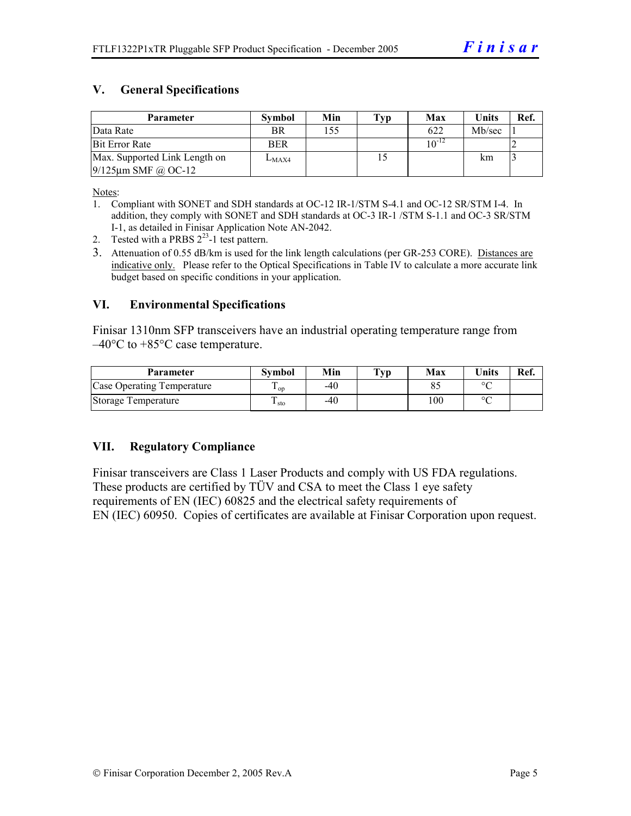# **V. General Specifications**

| Parameter                     | <b>Symbol</b> | Min | Typ | Max        | Units  | Ref. |
|-------------------------------|---------------|-----|-----|------------|--------|------|
| Data Rate                     | BR            | 155 |     | 622        | Mb/sec |      |
| <b>Bit Error Rate</b>         | <b>BER</b>    |     |     | $10^{-12}$ |        |      |
| Max. Supported Link Length on | $L_{MAX4}$    |     |     |            | km     |      |
| $9/125$ µm SMF @ OC-12        |               |     |     |            |        |      |

Notes:

- 1. Compliant with SONET and SDH standards at OC-12 IR-1/STM S-4.1 and OC-12 SR/STM I-4. In addition, they comply with SONET and SDH standards at OC-3 IR-1 /STM S-1.1 and OC-3 SR/STM I-1, as detailed in Finisar Application Note AN-2042.
- 2. Tested with a PRBS  $2^{23}$ -1 test pattern.
- 3. Attenuation of 0.55 dB/km is used for the link length calculations (per GR-253 CORE). Distances are indicative only. Please refer to the Optical Specifications in Table IV to calculate a more accurate link budget based on specific conditions in your application.

#### **VI. Environmental Specifications**

Finisar 1310nm SFP transceivers have an industrial operating temperature range from  $-40^{\circ}$ C to  $+85^{\circ}$ C case temperature.

| <b>Parameter</b>           | Svmbol     | Min | $\mathbf{T}_{\mathbf{V}\mathbf{p}}$ | Max | $\mathbf{v}_{\text{hits}}$ | Ref. |
|----------------------------|------------|-----|-------------------------------------|-----|----------------------------|------|
| Case Operating Temperature | L OD       | -40 |                                     |     | $\sim$                     |      |
| Storage Temperature        | m<br>⊥ sto | -40 |                                     | 100 | $\sim$                     |      |

# **VII. Regulatory Compliance**

Finisar transceivers are Class 1 Laser Products and comply with US FDA regulations. These products are certified by TÜV and CSA to meet the Class 1 eye safety requirements of EN (IEC) 60825 and the electrical safety requirements of EN (IEC) 60950. Copies of certificates are available at Finisar Corporation upon request.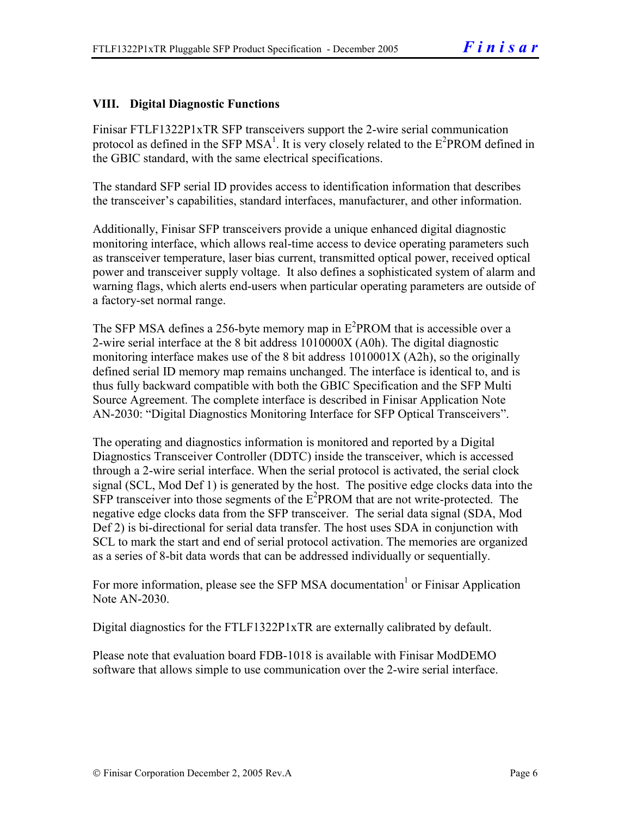# **VIII. Digital Diagnostic Functions**

Finisar FTLF1322P1xTR SFP transceivers support the 2-wire serial communication protocol as defined in the SFP MSA<sup>1</sup>. It is very closely related to the  $E^2$ PROM defined in the GBIC standard, with the same electrical specifications.

The standard SFP serial ID provides access to identification information that describes the transceiver's capabilities, standard interfaces, manufacturer, and other information.

Additionally, Finisar SFP transceivers provide a unique enhanced digital diagnostic monitoring interface, which allows real-time access to device operating parameters such as transceiver temperature, laser bias current, transmitted optical power, received optical power and transceiver supply voltage. It also defines a sophisticated system of alarm and warning flags, which alerts end-users when particular operating parameters are outside of a factory-set normal range.

The SFP MSA defines a 256-byte memory map in  $E^2$ PROM that is accessible over a 2-wire serial interface at the 8 bit address 1010000X (A0h). The digital diagnostic monitoring interface makes use of the 8 bit address 1010001X (A2h), so the originally defined serial ID memory map remains unchanged. The interface is identical to, and is thus fully backward compatible with both the GBIC Specification and the SFP Multi Source Agreement. The complete interface is described in Finisar Application Note AN-2030: "Digital Diagnostics Monitoring Interface for SFP Optical Transceivers".

The operating and diagnostics information is monitored and reported by a Digital Diagnostics Transceiver Controller (DDTC) inside the transceiver, which is accessed through a 2-wire serial interface. When the serial protocol is activated, the serial clock signal (SCL, Mod Def 1) is generated by the host. The positive edge clocks data into the  $SFP$  transceiver into those segments of the  $E^2$ PROM that are not write-protected. The negative edge clocks data from the SFP transceiver. The serial data signal (SDA, Mod Def 2) is bi-directional for serial data transfer. The host uses SDA in conjunction with SCL to mark the start and end of serial protocol activation. The memories are organized as a series of 8-bit data words that can be addressed individually or sequentially.

For more information, please see the SFP MSA documentation<sup>1</sup> or Finisar Application Note AN-2030.

Digital diagnostics for the FTLF1322P1xTR are externally calibrated by default.

Please note that evaluation board FDB-1018 is available with Finisar ModDEMO software that allows simple to use communication over the 2-wire serial interface.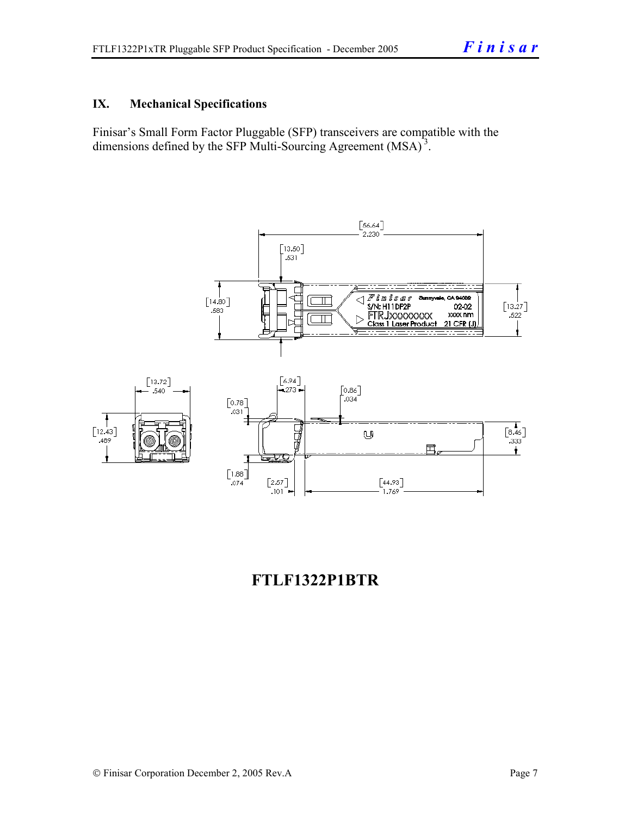# **IX. Mechanical Specifications**

Finisar's Small Form Factor Pluggable (SFP) transceivers are compatible with the dimensions defined by the SFP Multi-Sourcing Agreement (MSA)<sup>3</sup>.



# **FTLF1322P1BTR**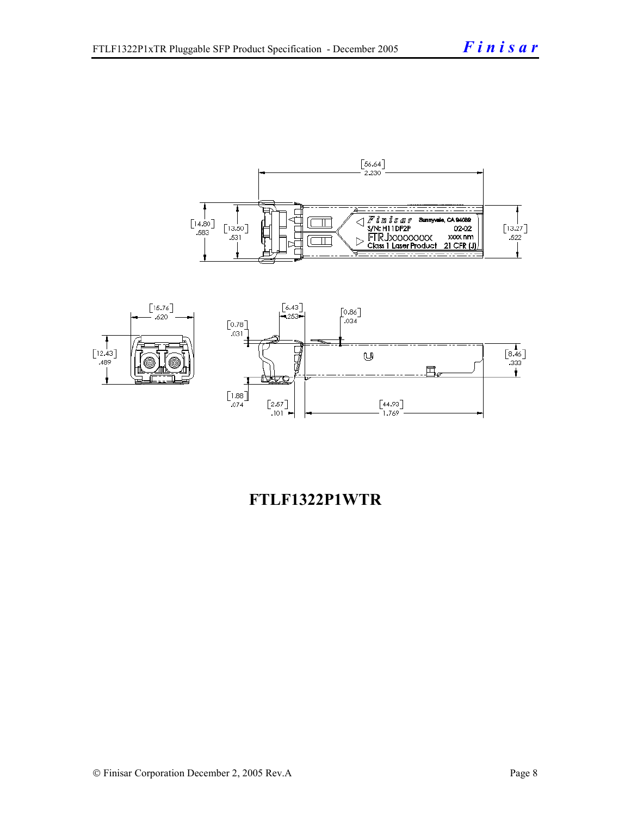



# **FTLF1322P1WTR**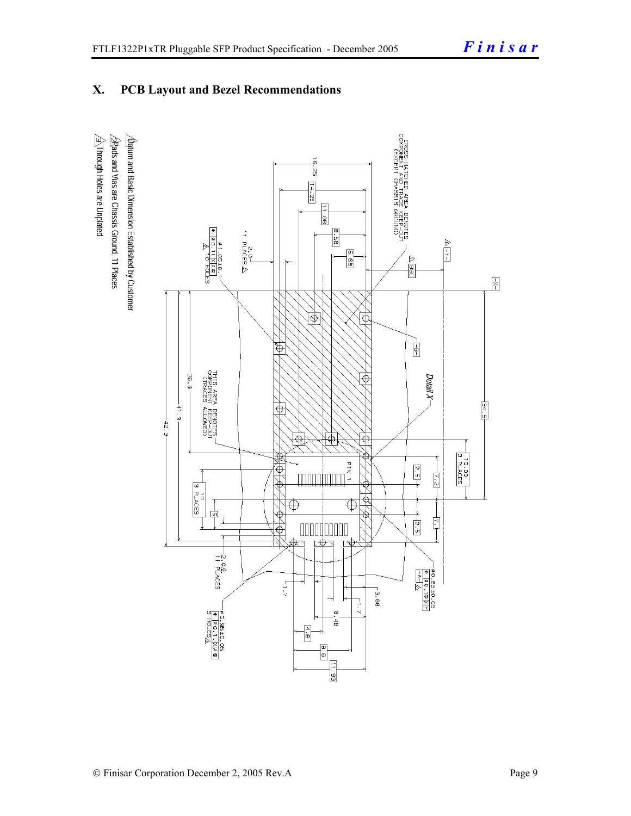# **X. PCB Layout and Bezel Recommendations**

 $\hat{\triangle}$ Through Holes are Unplated  $\Delta$ atum and Basic Dimension Established by Customer  $\triangle$ Rads and Vias are Chassis Ground, 11 Places

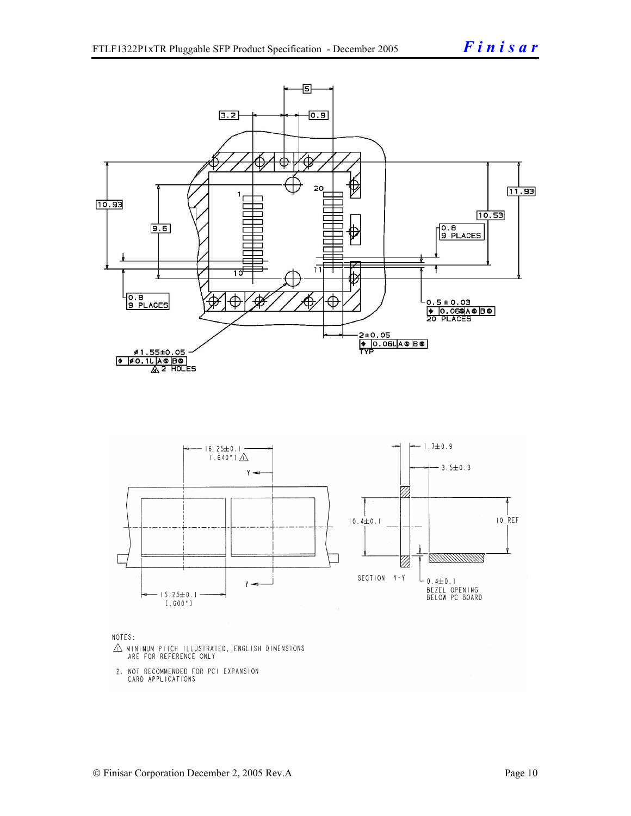

- $\triangle$  MINIMUM PITCH ILLUSTRATED, ENGLISH DIMENSIONS ARE FOR REFERENCE ONLY
- 2. NOT RECOMMENDED FOR PCI EXPANSION CARD APPLICATIONS